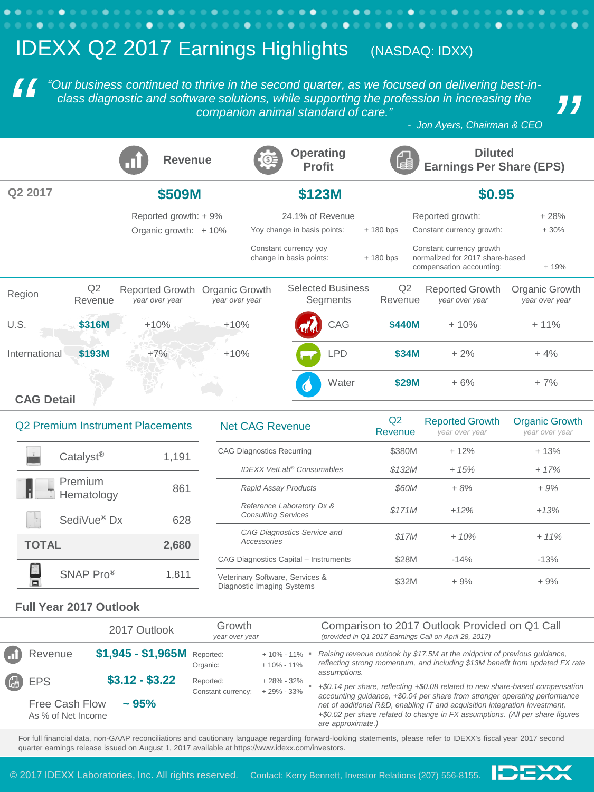## **IDEXX Q2 2017 Earnings Highlights** (NASDAQ: IDXX) *" C* <sup>"</sup> <sup>2</sup> <sup>(2</sup> <sup>our business continued to thrive in the second quarter, as we focused on delivering best-in-<br>
class diagnostic and software solutions, while supporting the profession in increasing the<br>
companion animal s</sup> *"Our business continued to thrive in the second quarter, as we focused on delivering best-inclass diagnostic and software solutions, while supporting the profession in increasing the companion animal standard of care."*  **Diluted**  Revenue **C<sub>O<sub>F</sub></del> Operating**</sub> **Profit Earnings Per Share (EPS) Q2 2017 \$509M \$123M \$0.95** Reported growth: + 9% 24.1% of Revenue Reported growth: +28% Organic growth: + 10% Yoy change in basis points:  $+ 180$  bps Constant currency growth: + 30% Constant currency yoy Constant currency growth change in basis points:  $+ 180$  bps normalized for 2017 share-based compensation accounting: + 19% Region Q2 Selected Business Q2 Reported Growth Organic Growth Reported Growth Organic Growth Revenue *year over year year over year* **Segments** Revenue *year over year year over year* U.S. **\$316M** +10% +10% +10% CAG **\$440M** + 10% + 11% International **\$193M** +7% +10% LPD **\$34M** + 2% + 4% Water  $$29M$  + 6% + 7% C **CAG Detail**

 $\bullet$ 

 $\bullet\hspace{0.1cm} \bullet\hspace{0.1cm}\bullet\hspace{0.1cm}\bullet\hspace{0.1cm}\bullet\hspace{0.1cm}\bullet$ 

 $\bullet$ 

 $0.0.0.0$ 

 $\bullet$ 

| Q2 Premium Instrument Placements |                       |       |  |  |  |
|----------------------------------|-----------------------|-------|--|--|--|
|                                  | Catalyst <sup>®</sup> | 1,191 |  |  |  |
|                                  | Premium<br>Hematology | 861   |  |  |  |
|                                  | SediVue® Dx           | 628   |  |  |  |
| <b>TOTAL</b>                     |                       | 2,680 |  |  |  |
|                                  | SNAP Pro®             | 1.811 |  |  |  |

 $\bullet$ 

. . . . . . . . . .

٠

| <b>Net CAG Revenue</b>                                        | Q <sub>2</sub><br>Revenue | <b>Reported Growth</b><br>year over year | <b>Organic Growth</b><br>year over year |
|---------------------------------------------------------------|---------------------------|------------------------------------------|-----------------------------------------|
| <b>CAG Diagnostics Recurring</b>                              | \$380M                    | $+12%$                                   | $+13%$                                  |
| <b>IDEXX VetLab<sup>®</sup> Consumables</b>                   | \$132M                    | $+15%$                                   | $+17%$                                  |
| <b>Rapid Assay Products</b>                                   | \$60M                     | $+8%$                                    | $+9%$                                   |
| Reference Laboratory Dx &<br><b>Consulting Services</b>       | \$171M                    | $+12%$                                   | $+13%$                                  |
| <b>CAG Diagnostics Service and</b><br>Accessories             | \$17M                     | $+10%$                                   | $+11%$                                  |
| CAG Diagnostics Capital - Instruments                         | \$28M                     | $-14%$                                   | $-13%$                                  |
| Veterinary Software, Services &<br>Diagnostic Imaging Systems | \$32M                     | $+9%$                                    | $+9%$                                   |

**IDEXX** 

. . . . . . . . . . . . . . . . . . . .

. . . . . . . . . . . . . . . .

## **Full Year 2017 Outlook**

|                                      | 2017 Outlook                 | Growth<br>year over year        |                                  | Comparison to 2017 Outlook Provided on Q1 Call<br>(provided in Q1 2017 Earnings Call on April 28, 2017)                                                                          |
|--------------------------------------|------------------------------|---------------------------------|----------------------------------|----------------------------------------------------------------------------------------------------------------------------------------------------------------------------------|
| n Revenue                            | \$1,945 - \$1,965M Reported: | Organic:                        | $+10\% - 11\%$<br>$+10\% - 11\%$ | Raising revenue outlook by \$17.5M at the midpoint of previous guidance,<br>reflecting strong momentum, and including \$13M benefit from updated FX rate                         |
| ep EPS                               | $$3.12 - $3.22$              | Reported:<br>Constant currency: | $+28\% - 32\%$<br>$+29\% - 33\%$ | assumptions.<br>+\$0.14 per share, reflecting +\$0.08 related to new share-based compensation<br>accounting guidance, +\$0.04 per share from stronger operating performance      |
| Free Cash Flow<br>As % of Net Income | $\sim$ 95%                   |                                 |                                  | net of additional R&D, enabling IT and acquisition integration investment,<br>+\$0.02 per share related to change in FX assumptions. (All per share figures<br>are approximate.) |

For full financial data, non-GAAP reconciliations and cautionary language regarding forward-looking statements, please refer to IDEXX's fiscal year 2017 second quarter earnings release issued on August 1, 2017 available at https://www.idexx.com/investors.